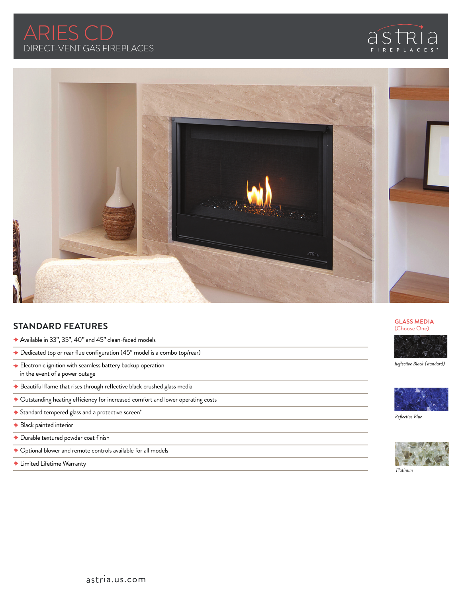





## **STANDARD FEATURES**

- Available in 33", 35", 40" and 45" clean-faced models
- ◆ Dedicated top or rear flue configuration (45" model is a combo top/rear)
- ◆ Electronic ignition with seamless battery backup operation in the event of a power outage
- ◆ Beautiful flame that rises through reflective black crushed glass media
- Outstanding heating efficiency for increased comfort and lower operating costs
- ◆ Standard tempered glass and a protective screen\*
- ◆ Black painted interior
- Durable textured powder coat finish
- ◆ Optional blower and remote controls available for all models
- Limited Lifetime Warranty





*Reflective Black (standard)*



*Reflective Blue*



*Platinum*